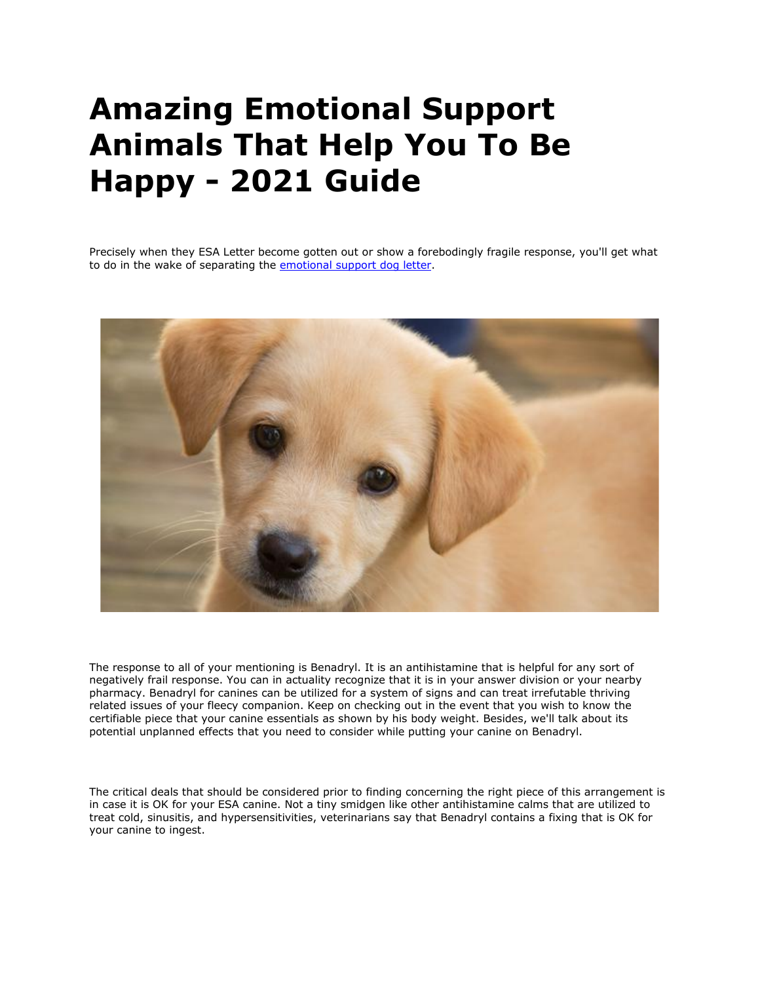## **Amazing Emotional Support Animals That Help You To Be Happy - 2021 Guide**

Precisely when they ESA Letter become gotten out or show a forebodingly fragile response, you'll get what to do in the wake of separating the [emotional support dog letter.](https://www.realesaletter.com/sample-esa-letter)



The response to all of your mentioning is Benadryl. It is an antihistamine that is helpful for any sort of negatively frail response. You can in actuality recognize that it is in your answer division or your nearby pharmacy. Benadryl for canines can be utilized for a system of signs and can treat irrefutable thriving related issues of your fleecy companion. Keep on checking out in the event that you wish to know the certifiable piece that your canine essentials as shown by his body weight. Besides, we'll talk about its potential unplanned effects that you need to consider while putting your canine on Benadryl.

The critical deals that should be considered prior to finding concerning the right piece of this arrangement is in case it is OK for your ESA canine. Not a tiny smidgen like other antihistamine calms that are utilized to treat cold, sinusitis, and hypersensitivities, veterinarians say that Benadryl contains a fixing that is OK for your canine to ingest.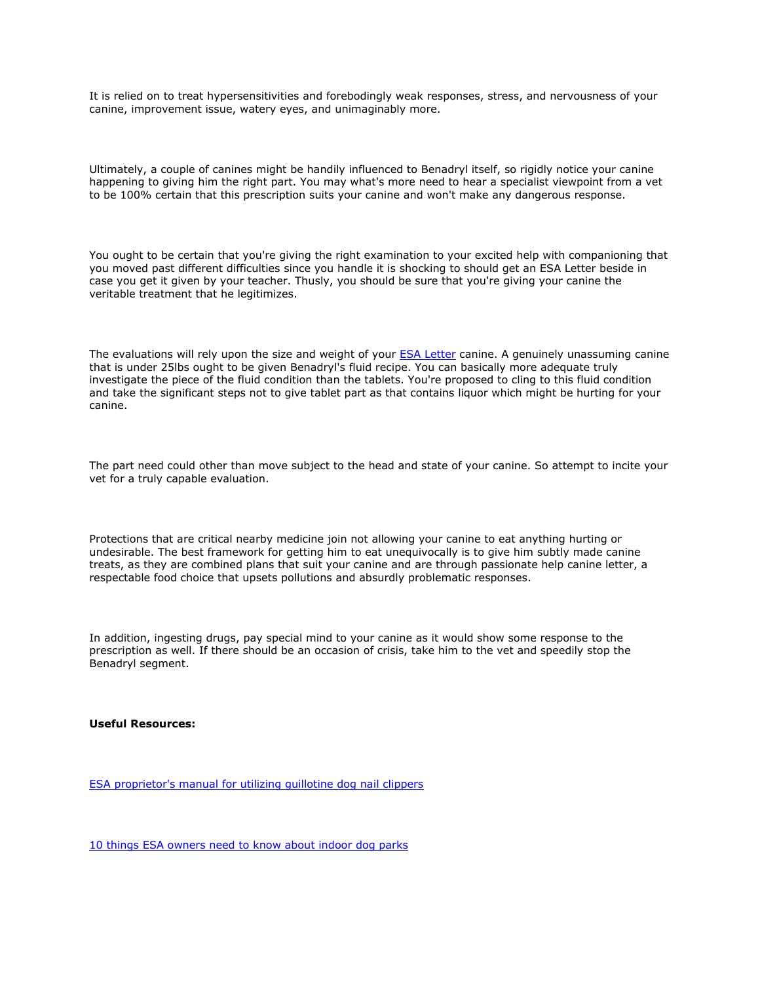It is relied on to treat hypersensitivities and forebodingly weak responses, stress, and nervousness of your canine, improvement issue, watery eyes, and unimaginably more.

Ultimately, a couple of canines might be handily influenced to Benadryl itself, so rigidly notice your canine happening to giving him the right part. You may what's more need to hear a specialist viewpoint from a vet to be 100% certain that this prescription suits your canine and won't make any dangerous response.

You ought to be certain that you're giving the right examination to your excited help with companioning that you moved past different difficulties since you handle it is shocking to should get an ESA Letter beside in case you get it given by your teacher. Thusly, you should be sure that you're giving your canine the veritable treatment that he legitimizes.

The evaluations will rely upon the size and weight of your [ESA Letter](https://myesaletter.net/) canine. A genuinely unassuming canine that is under 25lbs ought to be given Benadryl's fluid recipe. You can basically more adequate truly investigate the piece of the fluid condition than the tablets. You're proposed to cling to this fluid condition and take the significant steps not to give tablet part as that contains liquor which might be hurting for your canine.

The part need could other than move subject to the head and state of your canine. So attempt to incite your vet for a truly capable evaluation.

Protections that are critical nearby medicine join not allowing your canine to eat anything hurting or undesirable. The best framework for getting him to eat unequivocally is to give him subtly made canine treats, as they are combined plans that suit your canine and are through passionate help canine letter, a respectable food choice that upsets pollutions and absurdly problematic responses.

In addition, ingesting drugs, pay special mind to your canine as it would show some response to the prescription as well. If there should be an occasion of crisis, take him to the vet and speedily stop the Benadryl segment.

## **Useful Resources:**

[ESA proprietor's manual for utilizing guillotine dog nail clippers](https://www.tourneyx.com/app/profile/liamtusom)

[10 things ESA owners need to know about indoor dog parks](https://www.tourneyx.com/app/profile/tomsmith)